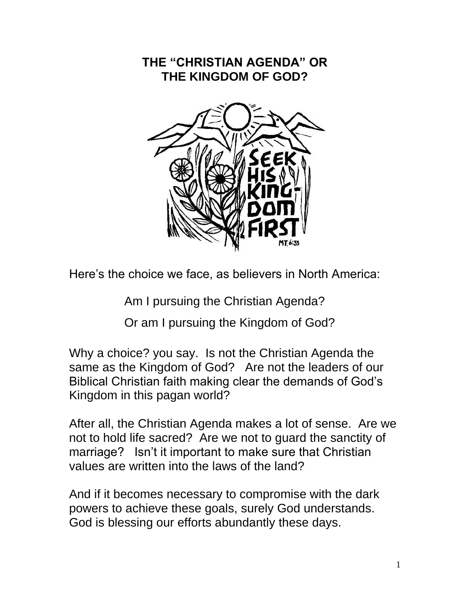### **THE "CHRISTIAN AGENDA" OR THE KINGDOM OF GOD?**



Here's the choice we face, as believers in North America:

Am I pursuing the Christian Agenda?

Or am I pursuing the Kingdom of God?

Why a choice? you say. Is not the Christian Agenda the same as the Kingdom of God? Are not the leaders of our Biblical Christian faith making clear the demands of God's Kingdom in this pagan world?

After all, the Christian Agenda makes a lot of sense. Are we not to hold life sacred? Are we not to guard the sanctity of marriage? Isn't it important to make sure that Christian values are written into the laws of the land?

And if it becomes necessary to compromise with the dark powers to achieve these goals, surely God understands. God is blessing our efforts abundantly these days.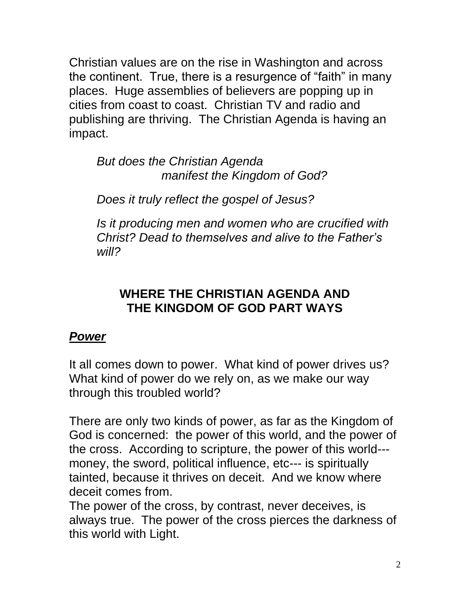Christian values are on the rise in Washington and across the continent. True, there is a resurgence of "faith" in many places. Huge assemblies of believers are popping up in cities from coast to coast. Christian TV and radio and publishing are thriving. The Christian Agenda is having an impact.

*But does the Christian Agenda manifest the Kingdom of God?* 

*Does it truly reflect the gospel of Jesus?*

*Is it producing men and women who are crucified with Christ? Dead to themselves and alive to the Father's will?*

### **WHERE THE CHRISTIAN AGENDA AND THE KINGDOM OF GOD PART WAYS**

### *Power*

It all comes down to power. What kind of power drives us? What kind of power do we rely on, as we make our way through this troubled world?

There are only two kinds of power, as far as the Kingdom of God is concerned: the power of this world, and the power of the cross. According to scripture, the power of this world-- money, the sword, political influence, etc--- is spiritually tainted, because it thrives on deceit. And we know where deceit comes from.

The power of the cross, by contrast, never deceives, is always true. The power of the cross pierces the darkness of this world with Light.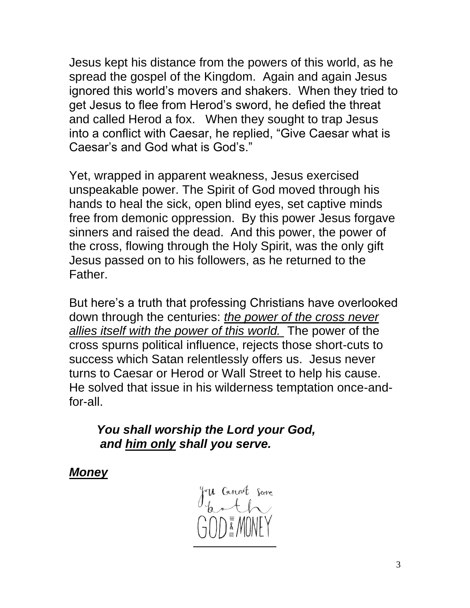Jesus kept his distance from the powers of this world, as he spread the gospel of the Kingdom. Again and again Jesus ignored this world's movers and shakers. When they tried to get Jesus to flee from Herod's sword, he defied the threat and called Herod a fox. When they sought to trap Jesus into a conflict with Caesar, he replied, "Give Caesar what is Caesar's and God what is God's."

Yet, wrapped in apparent weakness, Jesus exercised unspeakable power. The Spirit of God moved through his hands to heal the sick, open blind eyes, set captive minds free from demonic oppression. By this power Jesus forgave sinners and raised the dead. And this power, the power of the cross, flowing through the Holy Spirit, was the only gift Jesus passed on to his followers, as he returned to the Father.

But here's a truth that professing Christians have overlooked down through the centuries: *the power of the cross never allies itself with the power of this world.* The power of the cross spurns political influence, rejects those short-cuts to success which Satan relentlessly offers us. Jesus never turns to Caesar or Herod or Wall Street to help his cause. He solved that issue in his wilderness temptation once-andfor-all.

*You shall worship the Lord your God, and him only shall you serve.*

*Money*

The Cannot Serve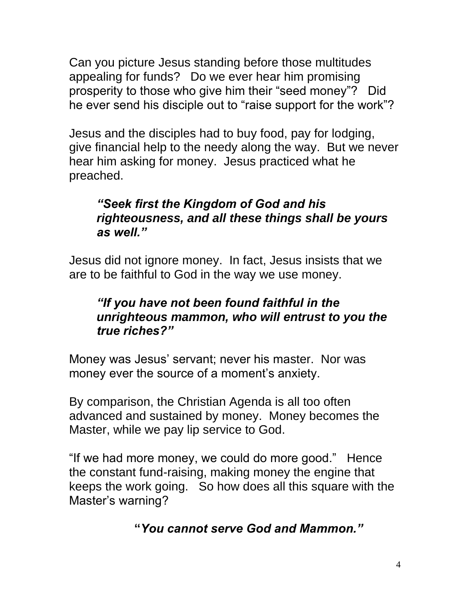Can you picture Jesus standing before those multitudes appealing for funds? Do we ever hear him promising prosperity to those who give him their "seed money"? Did he ever send his disciple out to "raise support for the work"?

Jesus and the disciples had to buy food, pay for lodging, give financial help to the needy along the way. But we never hear him asking for money. Jesus practiced what he preached.

#### *"Seek first the Kingdom of God and his righteousness, and all these things shall be yours as well."*

Jesus did not ignore money. In fact, Jesus insists that we are to be faithful to God in the way we use money.

### *"If you have not been found faithful in the unrighteous mammon, who will entrust to you the true riches?"*

Money was Jesus' servant; never his master. Nor was money ever the source of a moment's anxiety.

By comparison, the Christian Agenda is all too often advanced and sustained by money. Money becomes the Master, while we pay lip service to God.

"If we had more money, we could do more good." Hence the constant fund-raising, making money the engine that keeps the work going. So how does all this square with the Master's warning?

# **"***You cannot serve God and Mammon."*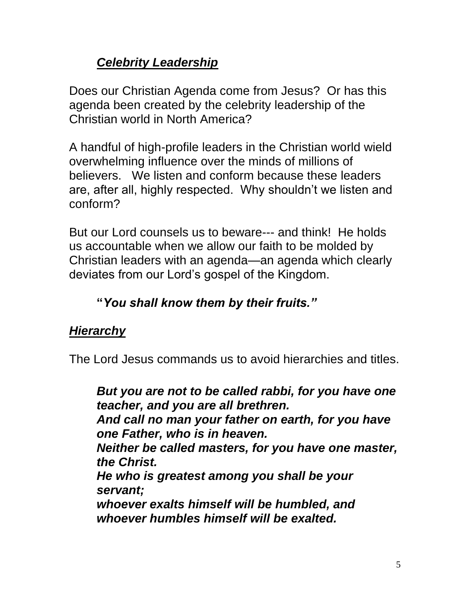# *Celebrity Leadership*

Does our Christian Agenda come from Jesus? Or has this agenda been created by the celebrity leadership of the Christian world in North America?

A handful of high-profile leaders in the Christian world wield overwhelming influence over the minds of millions of believers. We listen and conform because these leaders are, after all, highly respected. Why shouldn't we listen and conform?

But our Lord counsels us to beware--- and think! He holds us accountable when we allow our faith to be molded by Christian leaders with an agenda—an agenda which clearly deviates from our Lord's gospel of the Kingdom.

# **"***You shall know them by their fruits."*

# *Hierarchy*

The Lord Jesus commands us to avoid hierarchies and titles.

*But you are not to be called rabbi, for you have one teacher, and you are all brethren. And call no man your father on earth, for you have one Father, who is in heaven. Neither be called masters, for you have one master, the Christ. He who is greatest among you shall be your servant; whoever exalts himself will be humbled, and whoever humbles himself will be exalted.*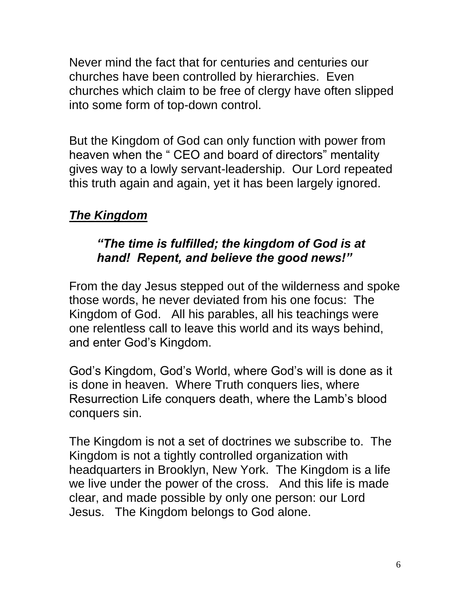Never mind the fact that for centuries and centuries our churches have been controlled by hierarchies. Even churches which claim to be free of clergy have often slipped into some form of top-down control.

But the Kingdom of God can only function with power from heaven when the " CEO and board of directors" mentality gives way to a lowly servant-leadership. Our Lord repeated this truth again and again, yet it has been largely ignored.

# *The Kingdom*

### *"The time is fulfilled; the kingdom of God is at hand! Repent, and believe the good news!"*

From the day Jesus stepped out of the wilderness and spoke those words, he never deviated from his one focus: The Kingdom of God. All his parables, all his teachings were one relentless call to leave this world and its ways behind, and enter God's Kingdom.

God's Kingdom, God's World, where God's will is done as it is done in heaven. Where Truth conquers lies, where Resurrection Life conquers death, where the Lamb's blood conquers sin.

The Kingdom is not a set of doctrines we subscribe to. The Kingdom is not a tightly controlled organization with headquarters in Brooklyn, New York. The Kingdom is a life we live under the power of the cross. And this life is made clear, and made possible by only one person: our Lord Jesus. The Kingdom belongs to God alone.